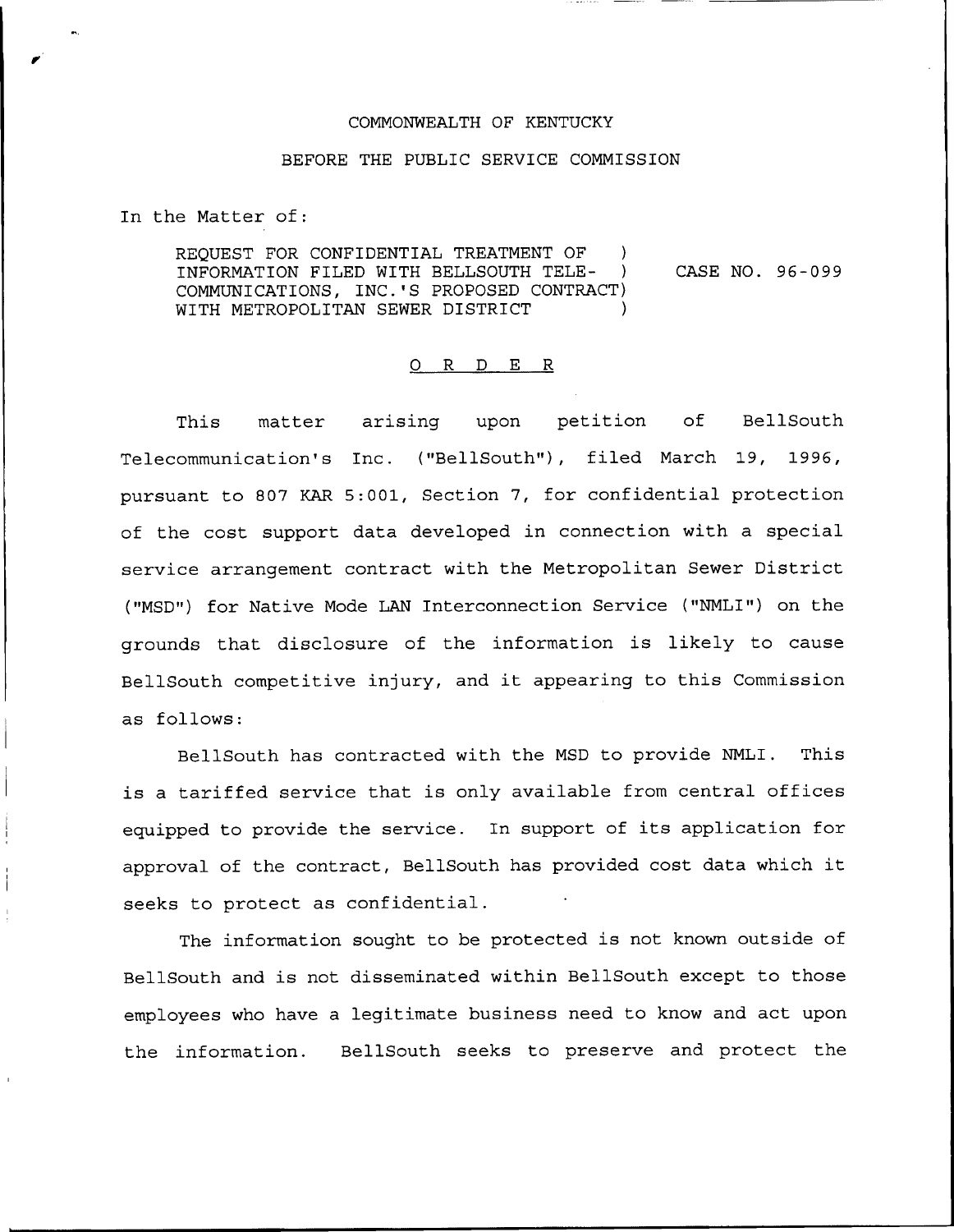## COMMONWEALTH OF KENTUCKY

## BEFORE THE PUBLIC SERVICE COMMISSION

In the Matter of

REQUEST FOR CONFIDENTIAL TREATMENT OF )<br>INFORMATION FILED WITH BELLSOUTH TELE- ) INFORMATION FILED WITH BELLSOUTH TELE-COMMUNICATIONS, INC.'S PROPOSED CONTRACT) WITH METROPOLITAN SEWER DISTRICT CASE NO. 96-099

## 0 R <sup>D</sup> E R

This matter arising upon petition of BellSouth Telecommunication's Inc. ("BellSouth"), filed March 19, 1996, pursuant to 807 KAR 5:001, Section 7, for confidential protection of the cost support data developed in connection with a special service arrangement contract with the Metropolitan Sewer District ("MSD") for Native Mode LAN Interconnection Service ("NMLI") on the grounds that disclosure of the information is likely to cause BellSouth competitive injury, and it appearing to this Commission as follows:

BellSouth has contracted with the MSD to provide NMLI. This is a tariffed service that is only available from central offices equipped to provide the service. In support of its application for approval of the contract, BellSouth has provided cost data which it seeks to protect as confidential.

The information sought to be protected is not known outside of BellSouth and is not disseminated within BellSouth except to those employees who have a legitimate business need to know and act upon the information. BellSouth seeks to preserve and protect the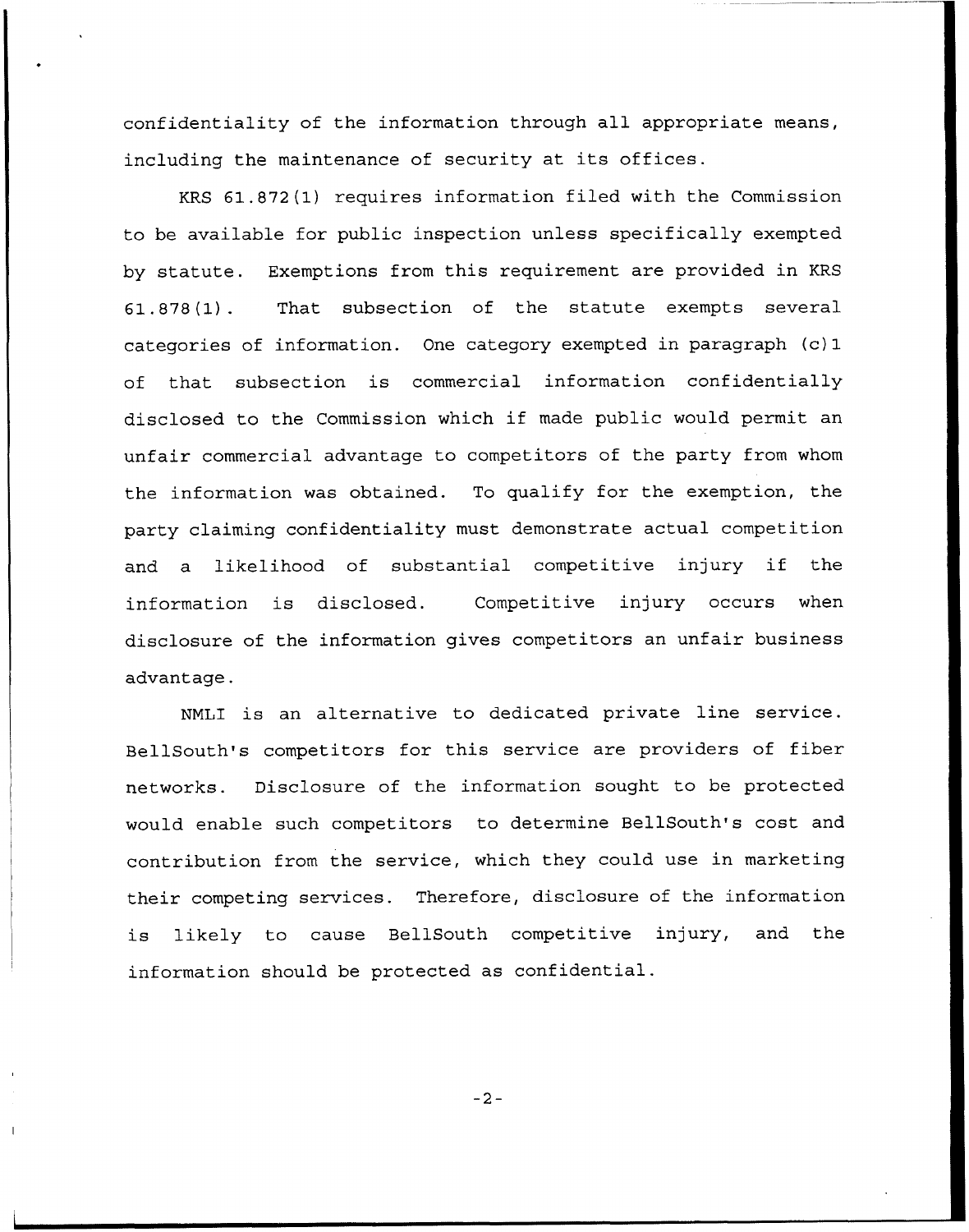confidentiality of the information through all appropriate means, including the maintenance of security at its offices.

KRS 61.872(1) requires information filed with the Commission to be available for public inspection unless specifically exempted by statute. Exemptions from this requirement are provided in KRS 61.878(1). That subsection of the statute exempts several categories of information. One category exempted in paragraph (c) 1 of that subsection is commercial information confidentially disclosed to the Commission which if made public would permit an unfair commercial advantage to competitors of the party from whom the information was obtained. To qualify for the exemption, the party claiming confidentiality must demonstrate actual competition and <sup>a</sup> likelihood of substantial competitive injury if the information is disclosed. Competitive injury occurs when disclosure of the information gives competitors an unfair business advantage.

NNLI is an alternative to dedicated private line service. BellSouth's competitors for this service are providers of fiber networks. Disclosure of the information sought to be protected would enable such competitors to determine BellSouth's cost and contribution from the service, which they could use in marketing their competing services. Therefore, disclosure of the information is likely to cause BellSouth competitive injury, and the information should be protected as confidential.

 $-2-$